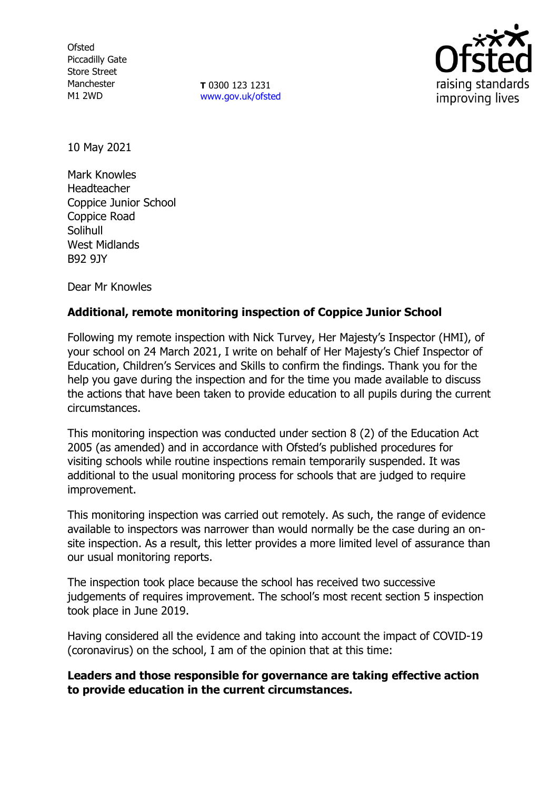**Ofsted** Piccadilly Gate Store Street Manchester M1 2WD

**T** 0300 123 1231 [www.gov.uk/ofsted](http://www.gov.uk/ofsted)



10 May 2021

Mark Knowles Headteacher Coppice Junior School Coppice Road Solihull West Midlands B92 9JY

Dear Mr Knowles

## **Additional, remote monitoring inspection of Coppice Junior School**

Following my remote inspection with Nick Turvey, Her Majesty's Inspector (HMI), of your school on 24 March 2021, I write on behalf of Her Majesty's Chief Inspector of Education, Children's Services and Skills to confirm the findings. Thank you for the help you gave during the inspection and for the time you made available to discuss the actions that have been taken to provide education to all pupils during the current circumstances.

This monitoring inspection was conducted under section 8 (2) of the Education Act 2005 (as amended) and in accordance with Ofsted's published procedures for visiting schools while routine inspections remain temporarily suspended. It was additional to the usual monitoring process for schools that are judged to require improvement.

This monitoring inspection was carried out remotely. As such, the range of evidence available to inspectors was narrower than would normally be the case during an onsite inspection. As a result, this letter provides a more limited level of assurance than our usual monitoring reports.

The inspection took place because the school has received two successive judgements of requires improvement. The school's most recent section 5 inspection took place in June 2019.

Having considered all the evidence and taking into account the impact of COVID-19 (coronavirus) on the school, I am of the opinion that at this time:

**Leaders and those responsible for governance are taking effective action to provide education in the current circumstances.**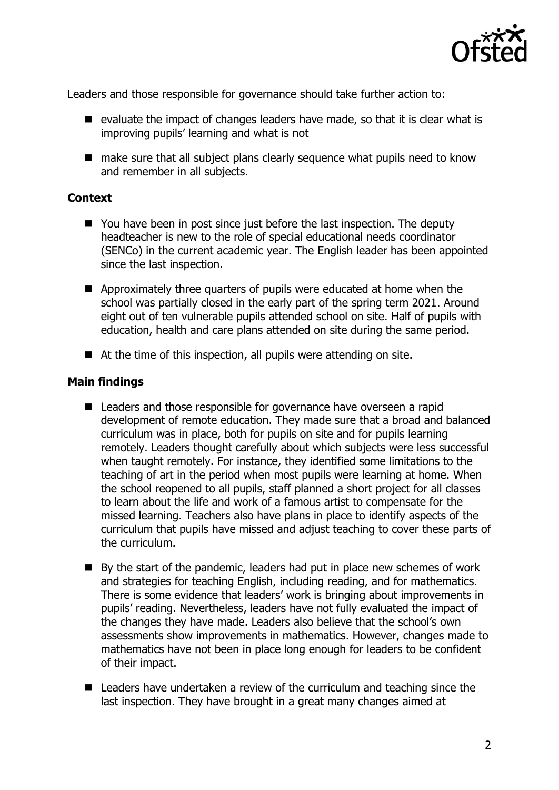

Leaders and those responsible for governance should take further action to:

- $\blacksquare$  evaluate the impact of changes leaders have made, so that it is clear what is improving pupils' learning and what is not
- make sure that all subject plans clearly sequence what pupils need to know and remember in all subjects.

## **Context**

- $\blacksquare$  You have been in post since just before the last inspection. The deputy headteacher is new to the role of special educational needs coordinator (SENCo) in the current academic year. The English leader has been appointed since the last inspection.
- Approximately three quarters of pupils were educated at home when the school was partially closed in the early part of the spring term 2021. Around eight out of ten vulnerable pupils attended school on site. Half of pupils with education, health and care plans attended on site during the same period.
- At the time of this inspection, all pupils were attending on site.

## **Main findings**

- Leaders and those responsible for governance have overseen a rapid development of remote education. They made sure that a broad and balanced curriculum was in place, both for pupils on site and for pupils learning remotely. Leaders thought carefully about which subjects were less successful when taught remotely. For instance, they identified some limitations to the teaching of art in the period when most pupils were learning at home. When the school reopened to all pupils, staff planned a short project for all classes to learn about the life and work of a famous artist to compensate for the missed learning. Teachers also have plans in place to identify aspects of the curriculum that pupils have missed and adjust teaching to cover these parts of the curriculum.
- $\blacksquare$  By the start of the pandemic, leaders had put in place new schemes of work and strategies for teaching English, including reading, and for mathematics. There is some evidence that leaders' work is bringing about improvements in pupils' reading. Nevertheless, leaders have not fully evaluated the impact of the changes they have made. Leaders also believe that the school's own assessments show improvements in mathematics. However, changes made to mathematics have not been in place long enough for leaders to be confident of their impact.
- Leaders have undertaken a review of the curriculum and teaching since the last inspection. They have brought in a great many changes aimed at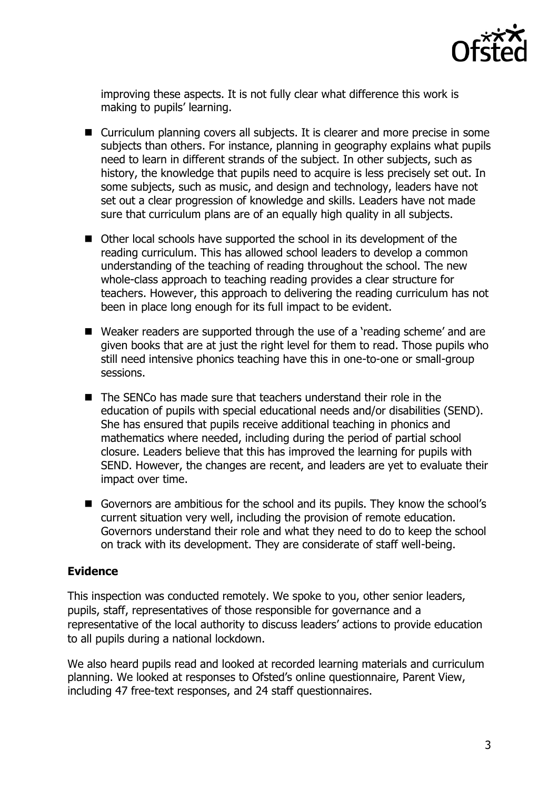

improving these aspects. It is not fully clear what difference this work is making to pupils' learning.

- Curriculum planning covers all subjects. It is clearer and more precise in some subjects than others. For instance, planning in geography explains what pupils need to learn in different strands of the subject. In other subjects, such as history, the knowledge that pupils need to acquire is less precisely set out. In some subjects, such as music, and design and technology, leaders have not set out a clear progression of knowledge and skills. Leaders have not made sure that curriculum plans are of an equally high quality in all subjects.
- Other local schools have supported the school in its development of the reading curriculum. This has allowed school leaders to develop a common understanding of the teaching of reading throughout the school. The new whole-class approach to teaching reading provides a clear structure for teachers. However, this approach to delivering the reading curriculum has not been in place long enough for its full impact to be evident.
- Weaker readers are supported through the use of a 'reading scheme' and are given books that are at just the right level for them to read. Those pupils who still need intensive phonics teaching have this in one-to-one or small-group sessions.
- The SENCo has made sure that teachers understand their role in the education of pupils with special educational needs and/or disabilities (SEND). She has ensured that pupils receive additional teaching in phonics and mathematics where needed, including during the period of partial school closure. Leaders believe that this has improved the learning for pupils with SEND. However, the changes are recent, and leaders are yet to evaluate their impact over time.
- Governors are ambitious for the school and its pupils. They know the school's current situation very well, including the provision of remote education. Governors understand their role and what they need to do to keep the school on track with its development. They are considerate of staff well-being.

## **Evidence**

This inspection was conducted remotely. We spoke to you, other senior leaders, pupils, staff, representatives of those responsible for governance and a representative of the local authority to discuss leaders' actions to provide education to all pupils during a national lockdown.

We also heard pupils read and looked at recorded learning materials and curriculum planning. We looked at responses to Ofsted's online questionnaire, Parent View, including 47 free-text responses, and 24 staff questionnaires.